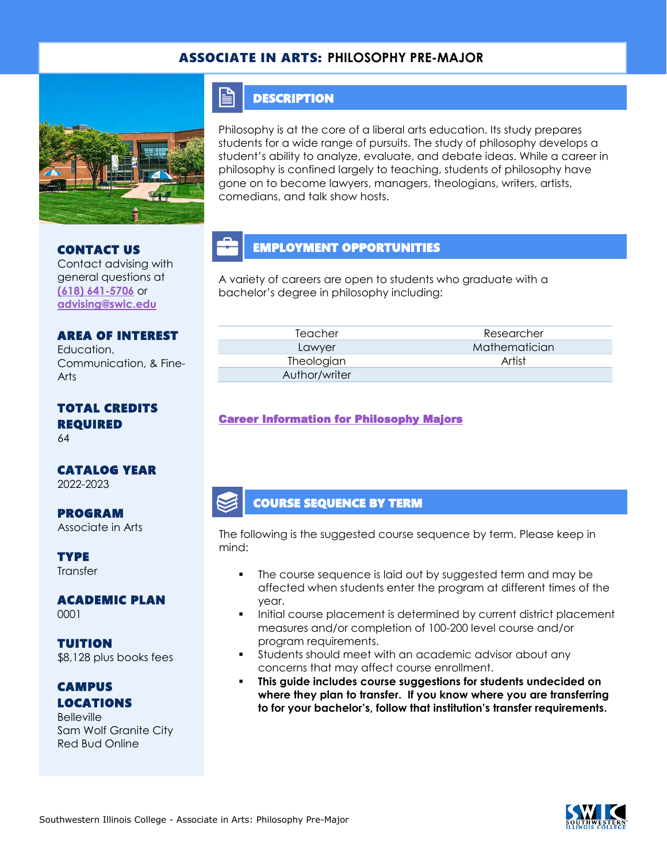## ASSOCIATE IN ARTS: **PHILOSOPHY PRE-MAJOR**



CONTACT US

Contact advising with general questions at **[\(618\) 641-5706](tel:%20(618)%20641-5706)** or **[advising@swic.edu](mailto:advising@swic.edu)**

## **DESCRIPTION**

E

Philosophy is at the core of a liberal arts education. Its study prepares students for a wide range of pursuits. The study of philosophy develops a student's ability to analyze, evaluate, and debate ideas. While a career in philosophy is confined largely to teaching, students of philosophy have gone on to become lawyers, managers, theologians, writers, artists, comedians, and talk show hosts.

# EMPLOYMENT OPPORTUNITIES

A variety of careers are open to students who graduate with a bachelor's degree in philosophy including:

| Teacher       | Researcher    |  |
|---------------|---------------|--|
| Lawyer        | Mathematician |  |
| Theologian    | Artist        |  |
| Author/writer |               |  |

### [Career Information for Philosophy Majors](https://www.onetonline.org/find/quick?s=philosophy)

## COURSE SEQUENCE BY TERM

The following is the suggested course sequence by term. Please keep in mind:

- The course sequence is laid out by suggested term and may be affected when students enter the program at different times of the year.
- Initial course placement is determined by current district placement measures and/or completion of 100-200 level course and/or program requirements.
- Students should meet with an academic advisor about any concerns that may affect course enrollment.
- **This guide includes course suggestions for students undecided on where they plan to transfer. If you know where you are transferring to for your bachelor's, follow that institution's transfer requirements.**



## AREA OF INTEREST Education, Communication, & Fine-

Arts

# TOTAL CREDITS REQUIRED

64

# CATALOG YEAR

2022-2023

### PROGRAM Associate in Arts

#### **TYPE Transfer**

### ACADEMIC PLAN 0001

TUITION \$8,128 plus books fees

## **CAMPUS** LOCATIONS

**Belleville** Sam Wolf Granite City Red Bud Online